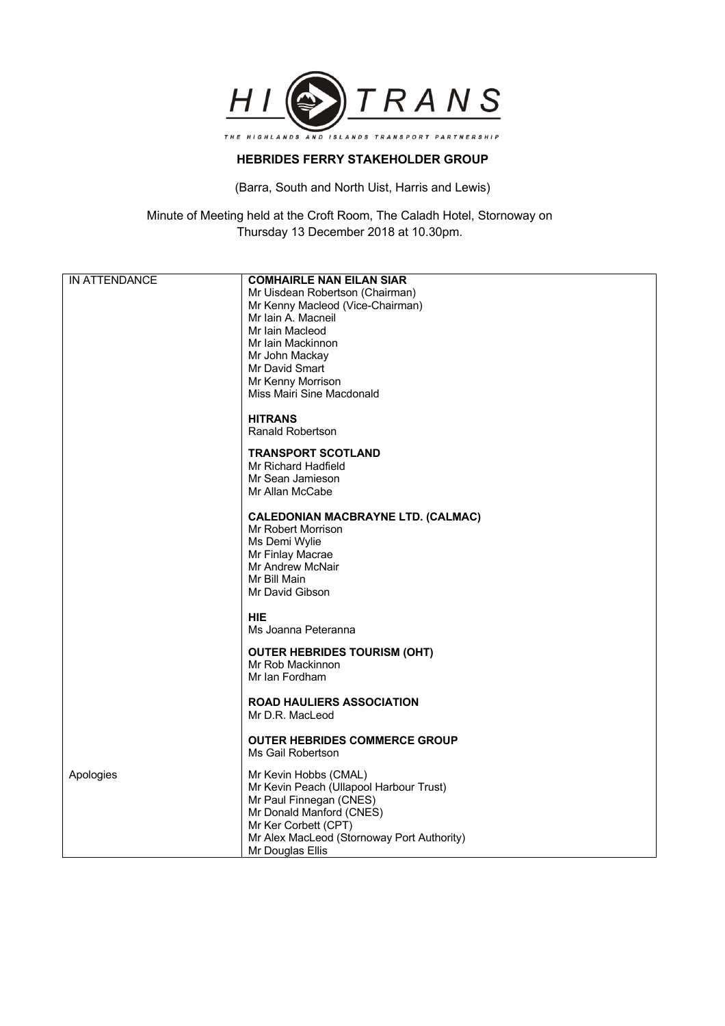

## **HEBRIDES FERRY STAKEHOLDER GROUP**

(Barra, South and North Uist, Harris and Lewis)

Minute of Meeting held at the Croft Room, The Caladh Hotel, Stornoway on Thursday 13 December 2018 at 10.30pm.

| IN ATTENDANCE | <b>COMHAIRLE NAN EILAN SIAR</b>                           |
|---------------|-----------------------------------------------------------|
|               | Mr Uisdean Robertson (Chairman)                           |
|               | Mr Kenny Macleod (Vice-Chairman)                          |
|               | Mr Iain A. Macneil                                        |
|               | Mr Iain Macleod                                           |
|               | Mr Iain Mackinnon                                         |
|               | Mr John Mackay                                            |
|               | Mr David Smart                                            |
|               | Mr Kenny Morrison                                         |
|               | Miss Mairi Sine Macdonald                                 |
|               |                                                           |
|               | <b>HITRANS</b>                                            |
|               | <b>Ranald Robertson</b>                                   |
|               | <b>TRANSPORT SCOTLAND</b>                                 |
|               | Mr Richard Hadfield                                       |
|               | Mr Sean Jamieson                                          |
|               | Mr Allan McCabe                                           |
|               |                                                           |
|               | <b>CALEDONIAN MACBRAYNE LTD. (CALMAC)</b>                 |
|               | Mr Robert Morrison                                        |
|               | Ms Demi Wylie                                             |
|               | Mr Finlay Macrae                                          |
|               | Mr Andrew McNair                                          |
|               | Mr Bill Main                                              |
|               | Mr David Gibson                                           |
|               | <b>HIE</b>                                                |
|               |                                                           |
|               | Ms Joanna Peteranna                                       |
|               | <b>OUTER HEBRIDES TOURISM (OHT)</b>                       |
|               | Mr Rob Mackinnon                                          |
|               | Mr Ian Fordham                                            |
|               |                                                           |
|               | <b>ROAD HAULIERS ASSOCIATION</b>                          |
|               | Mr D.R. MacLeod                                           |
|               |                                                           |
|               | <b>OUTER HEBRIDES COMMERCE GROUP</b><br>Ms Gail Robertson |
|               |                                                           |
| Apologies     | Mr Kevin Hobbs (CMAL)                                     |
|               | Mr Kevin Peach (Ullapool Harbour Trust)                   |
|               | Mr Paul Finnegan (CNES)                                   |
|               | Mr Donald Manford (CNES)                                  |
|               | Mr Ker Corbett (CPT)                                      |
|               | Mr Alex MacLeod (Stornoway Port Authority)                |
|               | Mr Douglas Ellis                                          |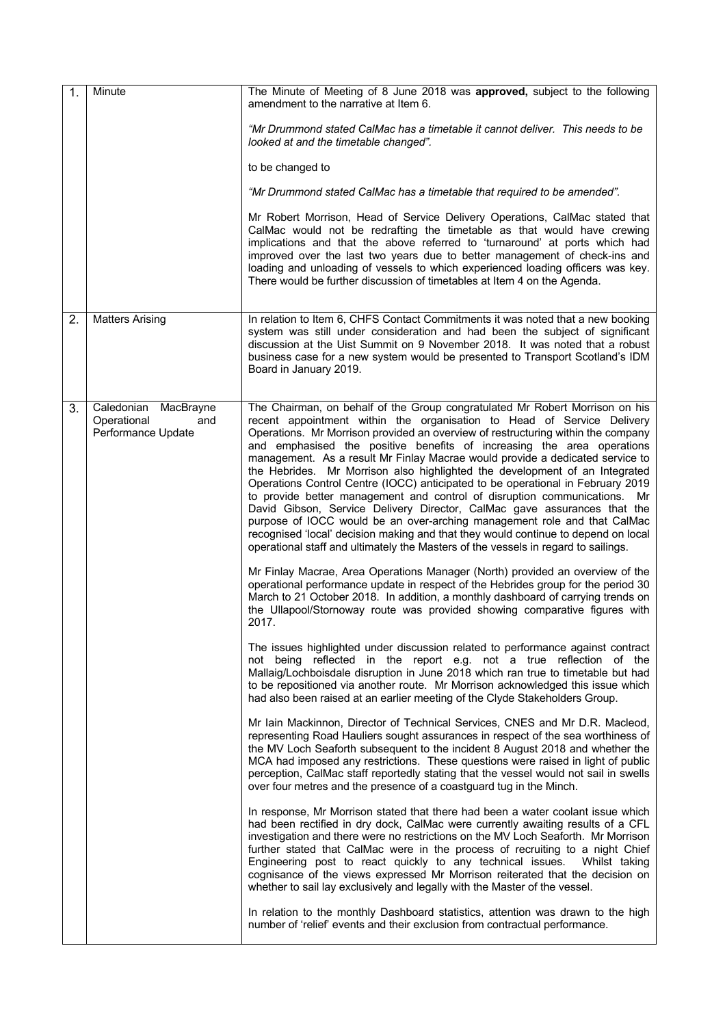| 1. | Minute                                                           | The Minute of Meeting of 8 June 2018 was approved, subject to the following<br>amendment to the narrative at Item 6.                                                                                                                                                                                                                                                                                                                                                                                                                                                                                                                                                                                                                                                                                                                                                                                                                                                                                                                                                                                                                                                                                                                                                                                                                                                                                                                                                                                                                                                                                                                                                                                                                                                                                                                                                                                                                                                                                                                                                                                                                                                                                                                                                                                                                                                                                                                                                                                                                                                                                                                                                                                                                                                                                                                                                                                                                                                                                                           |
|----|------------------------------------------------------------------|--------------------------------------------------------------------------------------------------------------------------------------------------------------------------------------------------------------------------------------------------------------------------------------------------------------------------------------------------------------------------------------------------------------------------------------------------------------------------------------------------------------------------------------------------------------------------------------------------------------------------------------------------------------------------------------------------------------------------------------------------------------------------------------------------------------------------------------------------------------------------------------------------------------------------------------------------------------------------------------------------------------------------------------------------------------------------------------------------------------------------------------------------------------------------------------------------------------------------------------------------------------------------------------------------------------------------------------------------------------------------------------------------------------------------------------------------------------------------------------------------------------------------------------------------------------------------------------------------------------------------------------------------------------------------------------------------------------------------------------------------------------------------------------------------------------------------------------------------------------------------------------------------------------------------------------------------------------------------------------------------------------------------------------------------------------------------------------------------------------------------------------------------------------------------------------------------------------------------------------------------------------------------------------------------------------------------------------------------------------------------------------------------------------------------------------------------------------------------------------------------------------------------------------------------------------------------------------------------------------------------------------------------------------------------------------------------------------------------------------------------------------------------------------------------------------------------------------------------------------------------------------------------------------------------------------------------------------------------------------------------------------------------------|
|    |                                                                  | "Mr Drummond stated CalMac has a timetable it cannot deliver. This needs to be<br>looked at and the timetable changed".                                                                                                                                                                                                                                                                                                                                                                                                                                                                                                                                                                                                                                                                                                                                                                                                                                                                                                                                                                                                                                                                                                                                                                                                                                                                                                                                                                                                                                                                                                                                                                                                                                                                                                                                                                                                                                                                                                                                                                                                                                                                                                                                                                                                                                                                                                                                                                                                                                                                                                                                                                                                                                                                                                                                                                                                                                                                                                        |
|    |                                                                  | to be changed to                                                                                                                                                                                                                                                                                                                                                                                                                                                                                                                                                                                                                                                                                                                                                                                                                                                                                                                                                                                                                                                                                                                                                                                                                                                                                                                                                                                                                                                                                                                                                                                                                                                                                                                                                                                                                                                                                                                                                                                                                                                                                                                                                                                                                                                                                                                                                                                                                                                                                                                                                                                                                                                                                                                                                                                                                                                                                                                                                                                                               |
|    |                                                                  | "Mr Drummond stated CalMac has a timetable that required to be amended".                                                                                                                                                                                                                                                                                                                                                                                                                                                                                                                                                                                                                                                                                                                                                                                                                                                                                                                                                                                                                                                                                                                                                                                                                                                                                                                                                                                                                                                                                                                                                                                                                                                                                                                                                                                                                                                                                                                                                                                                                                                                                                                                                                                                                                                                                                                                                                                                                                                                                                                                                                                                                                                                                                                                                                                                                                                                                                                                                       |
|    |                                                                  | Mr Robert Morrison, Head of Service Delivery Operations, CalMac stated that<br>CalMac would not be redrafting the timetable as that would have crewing<br>implications and that the above referred to 'turnaround' at ports which had<br>improved over the last two years due to better management of check-ins and<br>loading and unloading of vessels to which experienced loading officers was key.<br>There would be further discussion of timetables at Item 4 on the Agenda.                                                                                                                                                                                                                                                                                                                                                                                                                                                                                                                                                                                                                                                                                                                                                                                                                                                                                                                                                                                                                                                                                                                                                                                                                                                                                                                                                                                                                                                                                                                                                                                                                                                                                                                                                                                                                                                                                                                                                                                                                                                                                                                                                                                                                                                                                                                                                                                                                                                                                                                                             |
| 2. | <b>Matters Arising</b>                                           | In relation to Item 6, CHFS Contact Commitments it was noted that a new booking<br>system was still under consideration and had been the subject of significant<br>discussion at the Uist Summit on 9 November 2018. It was noted that a robust<br>business case for a new system would be presented to Transport Scotland's IDM<br>Board in January 2019.                                                                                                                                                                                                                                                                                                                                                                                                                                                                                                                                                                                                                                                                                                                                                                                                                                                                                                                                                                                                                                                                                                                                                                                                                                                                                                                                                                                                                                                                                                                                                                                                                                                                                                                                                                                                                                                                                                                                                                                                                                                                                                                                                                                                                                                                                                                                                                                                                                                                                                                                                                                                                                                                     |
| 3. | Caledonian MacBrayne<br>Operational<br>and<br>Performance Update | The Chairman, on behalf of the Group congratulated Mr Robert Morrison on his<br>recent appointment within the organisation to Head of Service Delivery<br>Operations. Mr Morrison provided an overview of restructuring within the company<br>and emphasised the positive benefits of increasing the area operations<br>management. As a result Mr Finlay Macrae would provide a dedicated service to<br>the Hebrides. Mr Morrison also highlighted the development of an Integrated<br>Operations Control Centre (IOCC) anticipated to be operational in February 2019<br>to provide better management and control of disruption communications. Mr<br>David Gibson, Service Delivery Director, CalMac gave assurances that the<br>purpose of IOCC would be an over-arching management role and that CalMac<br>recognised 'local' decision making and that they would continue to depend on local<br>operational staff and ultimately the Masters of the vessels in regard to sailings.<br>Mr Finlay Macrae, Area Operations Manager (North) provided an overview of the<br>operational performance update in respect of the Hebrides group for the period 30<br>March to 21 October 2018. In addition, a monthly dashboard of carrying trends on<br>the Ullapool/Stornoway route was provided showing comparative figures with<br>2017.<br>The issues highlighted under discussion related to performance against contract<br>not being reflected in the report e.g. not a true reflection of the<br>Mallaig/Lochboisdale disruption in June 2018 which ran true to timetable but had<br>to be repositioned via another route. Mr Morrison acknowledged this issue which<br>had also been raised at an earlier meeting of the Clyde Stakeholders Group.<br>Mr Iain Mackinnon, Director of Technical Services, CNES and Mr D.R. Macleod,<br>representing Road Hauliers sought assurances in respect of the sea worthiness of<br>the MV Loch Seaforth subsequent to the incident 8 August 2018 and whether the<br>MCA had imposed any restrictions. These questions were raised in light of public<br>perception, CalMac staff reportedly stating that the vessel would not sail in swells<br>over four metres and the presence of a coastguard tug in the Minch.<br>In response, Mr Morrison stated that there had been a water coolant issue which<br>had been rectified in dry dock, CalMac were currently awaiting results of a CFL<br>investigation and there were no restrictions on the MV Loch Seaforth. Mr Morrison<br>further stated that CalMac were in the process of recruiting to a night Chief<br>Engineering post to react quickly to any technical issues.<br>Whilst taking<br>cognisance of the views expressed Mr Morrison reiterated that the decision on<br>whether to sail lay exclusively and legally with the Master of the vessel.<br>In relation to the monthly Dashboard statistics, attention was drawn to the high<br>number of 'relief' events and their exclusion from contractual performance. |
|    |                                                                  |                                                                                                                                                                                                                                                                                                                                                                                                                                                                                                                                                                                                                                                                                                                                                                                                                                                                                                                                                                                                                                                                                                                                                                                                                                                                                                                                                                                                                                                                                                                                                                                                                                                                                                                                                                                                                                                                                                                                                                                                                                                                                                                                                                                                                                                                                                                                                                                                                                                                                                                                                                                                                                                                                                                                                                                                                                                                                                                                                                                                                                |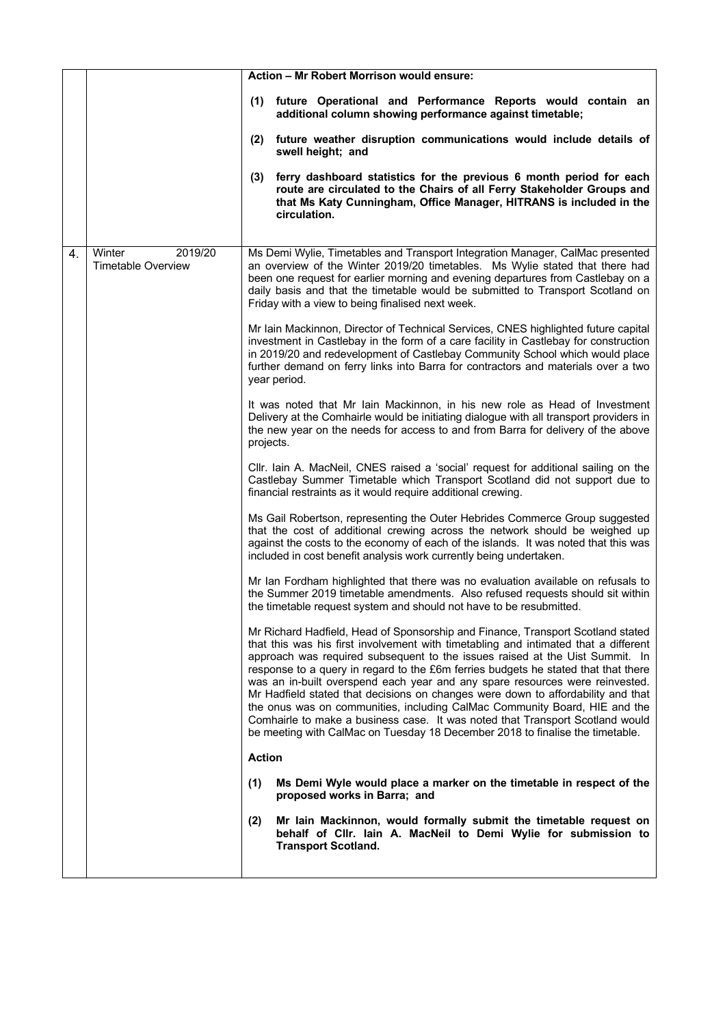|    |                                                |               | Action - Mr Robert Morrison would ensure:                                                                                                                                                                                                                                                                                                                                                                                                                                                                                                                                                                                                                                                                                                                        |
|----|------------------------------------------------|---------------|------------------------------------------------------------------------------------------------------------------------------------------------------------------------------------------------------------------------------------------------------------------------------------------------------------------------------------------------------------------------------------------------------------------------------------------------------------------------------------------------------------------------------------------------------------------------------------------------------------------------------------------------------------------------------------------------------------------------------------------------------------------|
|    |                                                |               | (1) future Operational and Performance Reports would contain an<br>additional column showing performance against timetable;                                                                                                                                                                                                                                                                                                                                                                                                                                                                                                                                                                                                                                      |
|    |                                                | (2)           | future weather disruption communications would include details of<br>swell height; and                                                                                                                                                                                                                                                                                                                                                                                                                                                                                                                                                                                                                                                                           |
|    |                                                | (3)           | ferry dashboard statistics for the previous 6 month period for each<br>route are circulated to the Chairs of all Ferry Stakeholder Groups and<br>that Ms Katy Cunningham, Office Manager, HITRANS is included in the<br>circulation.                                                                                                                                                                                                                                                                                                                                                                                                                                                                                                                             |
| 4. | 2019/20<br>Winter<br><b>Timetable Overview</b> |               | Ms Demi Wylie, Timetables and Transport Integration Manager, CalMac presented<br>an overview of the Winter 2019/20 timetables. Ms Wylie stated that there had<br>been one request for earlier morning and evening departures from Castlebay on a<br>daily basis and that the timetable would be submitted to Transport Scotland on<br>Friday with a view to being finalised next week.                                                                                                                                                                                                                                                                                                                                                                           |
|    |                                                |               | Mr Iain Mackinnon, Director of Technical Services, CNES highlighted future capital<br>investment in Castlebay in the form of a care facility in Castlebay for construction<br>in 2019/20 and redevelopment of Castlebay Community School which would place<br>further demand on ferry links into Barra for contractors and materials over a two<br>year period.                                                                                                                                                                                                                                                                                                                                                                                                  |
|    |                                                | projects.     | It was noted that Mr Iain Mackinnon, in his new role as Head of Investment<br>Delivery at the Comhairle would be initiating dialogue with all transport providers in<br>the new year on the needs for access to and from Barra for delivery of the above                                                                                                                                                                                                                                                                                                                                                                                                                                                                                                         |
|    |                                                |               | CIIr. Iain A. MacNeil, CNES raised a 'social' request for additional sailing on the<br>Castlebay Summer Timetable which Transport Scotland did not support due to<br>financial restraints as it would require additional crewing.                                                                                                                                                                                                                                                                                                                                                                                                                                                                                                                                |
|    |                                                |               | Ms Gail Robertson, representing the Outer Hebrides Commerce Group suggested<br>that the cost of additional crewing across the network should be weighed up<br>against the costs to the economy of each of the islands. It was noted that this was<br>included in cost benefit analysis work currently being undertaken.                                                                                                                                                                                                                                                                                                                                                                                                                                          |
|    |                                                |               | Mr Ian Fordham highlighted that there was no evaluation available on refusals to<br>the Summer 2019 timetable amendments. Also refused requests should sit within<br>the timetable request system and should not have to be resubmitted.                                                                                                                                                                                                                                                                                                                                                                                                                                                                                                                         |
|    |                                                |               | Mr Richard Hadfield, Head of Sponsorship and Finance, Transport Scotland stated<br>that this was his first involvement with timetabling and intimated that a different<br>approach was required subsequent to the issues raised at the Uist Summit. In<br>response to a query in regard to the £6m ferries budgets he stated that that there<br>was an in-built overspend each year and any spare resources were reinvested.<br>Mr Hadfield stated that decisions on changes were down to affordability and that<br>the onus was on communities, including CalMac Community Board, HIE and the<br>Comhairle to make a business case. It was noted that Transport Scotland would<br>be meeting with CalMac on Tuesday 18 December 2018 to finalise the timetable. |
|    |                                                | <b>Action</b> |                                                                                                                                                                                                                                                                                                                                                                                                                                                                                                                                                                                                                                                                                                                                                                  |
|    |                                                | (1)           | Ms Demi Wyle would place a marker on the timetable in respect of the<br>proposed works in Barra; and                                                                                                                                                                                                                                                                                                                                                                                                                                                                                                                                                                                                                                                             |
|    |                                                | (2)           | Mr lain Mackinnon, would formally submit the timetable request on<br>behalf of Cllr. Iain A. MacNeil to Demi Wylie for submission to<br><b>Transport Scotland.</b>                                                                                                                                                                                                                                                                                                                                                                                                                                                                                                                                                                                               |
|    |                                                |               |                                                                                                                                                                                                                                                                                                                                                                                                                                                                                                                                                                                                                                                                                                                                                                  |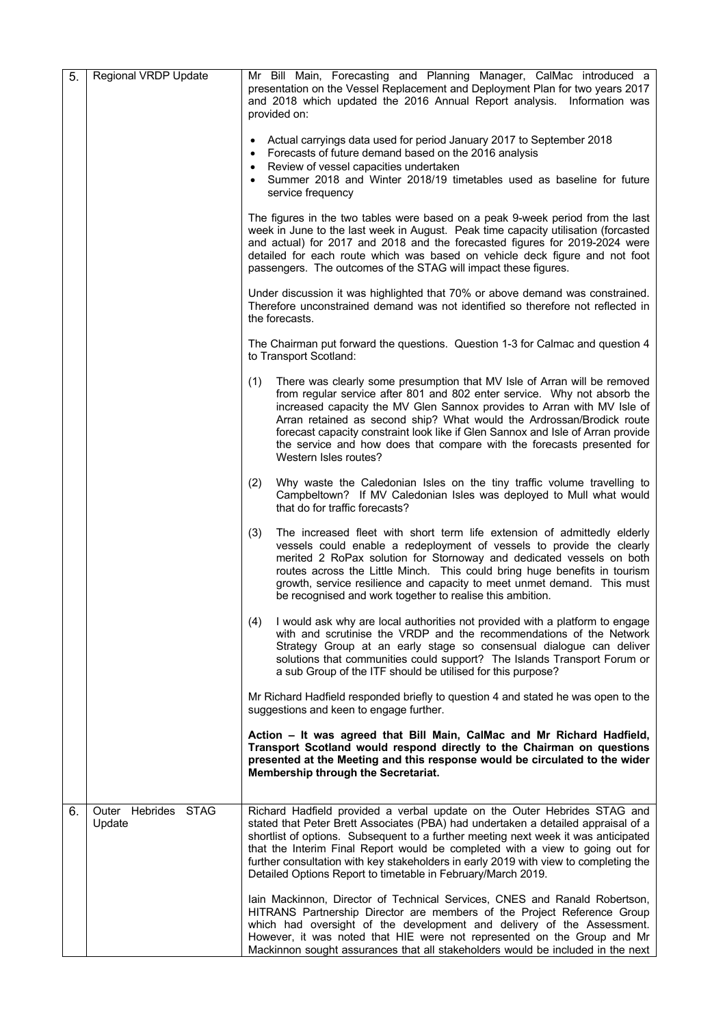| 5. | Regional VRDP Update          | Mr Bill Main, Forecasting and Planning Manager, CalMac introduced a<br>presentation on the Vessel Replacement and Deployment Plan for two years 2017<br>and 2018 which updated the 2016 Annual Report analysis. Information was<br>provided on:                                                                                                                                                                                                                                                       |
|----|-------------------------------|-------------------------------------------------------------------------------------------------------------------------------------------------------------------------------------------------------------------------------------------------------------------------------------------------------------------------------------------------------------------------------------------------------------------------------------------------------------------------------------------------------|
|    |                               | Actual carryings data used for period January 2017 to September 2018<br>• Forecasts of future demand based on the 2016 analysis<br>Review of vessel capacities undertaken<br>Summer 2018 and Winter 2018/19 timetables used as baseline for future<br>service frequency                                                                                                                                                                                                                               |
|    |                               | The figures in the two tables were based on a peak 9-week period from the last<br>week in June to the last week in August. Peak time capacity utilisation (forcasted<br>and actual) for 2017 and 2018 and the forecasted figures for 2019-2024 were<br>detailed for each route which was based on vehicle deck figure and not foot<br>passengers. The outcomes of the STAG will impact these figures.                                                                                                 |
|    |                               | Under discussion it was highlighted that 70% or above demand was constrained.<br>Therefore unconstrained demand was not identified so therefore not reflected in<br>the forecasts.                                                                                                                                                                                                                                                                                                                    |
|    |                               | The Chairman put forward the questions. Question 1-3 for Calmac and question 4<br>to Transport Scotland:                                                                                                                                                                                                                                                                                                                                                                                              |
|    |                               | (1)<br>There was clearly some presumption that MV Isle of Arran will be removed<br>from regular service after 801 and 802 enter service. Why not absorb the<br>increased capacity the MV Glen Sannox provides to Arran with MV Isle of<br>Arran retained as second ship? What would the Ardrossan/Brodick route<br>forecast capacity constraint look like if Glen Sannox and Isle of Arran provide<br>the service and how does that compare with the forecasts presented for<br>Western Isles routes? |
|    |                               | Why waste the Caledonian Isles on the tiny traffic volume travelling to<br>(2)<br>Campbeltown? If MV Caledonian Isles was deployed to Mull what would<br>that do for traffic forecasts?                                                                                                                                                                                                                                                                                                               |
|    |                               | The increased fleet with short term life extension of admittedly elderly<br>(3)<br>vessels could enable a redeployment of vessels to provide the clearly<br>merited 2 RoPax solution for Stornoway and dedicated vessels on both<br>routes across the Little Minch. This could bring huge benefits in tourism<br>growth, service resilience and capacity to meet unmet demand. This must<br>be recognised and work together to realise this ambition.                                                 |
|    |                               | I would ask why are local authorities not provided with a platform to engage<br>(4)<br>with and scrutinise the VRDP and the recommendations of the Network<br>Strategy Group at an early stage so consensual dialogue can deliver<br>solutions that communities could support? The Islands Transport Forum or<br>a sub Group of the ITF should be utilised for this purpose?                                                                                                                          |
|    |                               | Mr Richard Hadfield responded briefly to question 4 and stated he was open to the<br>suggestions and keen to engage further.                                                                                                                                                                                                                                                                                                                                                                          |
|    |                               | Action - It was agreed that Bill Main, CalMac and Mr Richard Hadfield,<br>Transport Scotland would respond directly to the Chairman on questions<br>presented at the Meeting and this response would be circulated to the wider<br><b>Membership through the Secretariat.</b>                                                                                                                                                                                                                         |
| 6. | Outer Hebrides STAG<br>Update | Richard Hadfield provided a verbal update on the Outer Hebrides STAG and<br>stated that Peter Brett Associates (PBA) had undertaken a detailed appraisal of a<br>shortlist of options. Subsequent to a further meeting next week it was anticipated<br>that the Interim Final Report would be completed with a view to going out for<br>further consultation with key stakeholders in early 2019 with view to completing the<br>Detailed Options Report to timetable in February/March 2019.          |
|    |                               | lain Mackinnon, Director of Technical Services, CNES and Ranald Robertson,<br>HITRANS Partnership Director are members of the Project Reference Group<br>which had oversight of the development and delivery of the Assessment.<br>However, it was noted that HIE were not represented on the Group and Mr<br>Mackinnon sought assurances that all stakeholders would be included in the next                                                                                                         |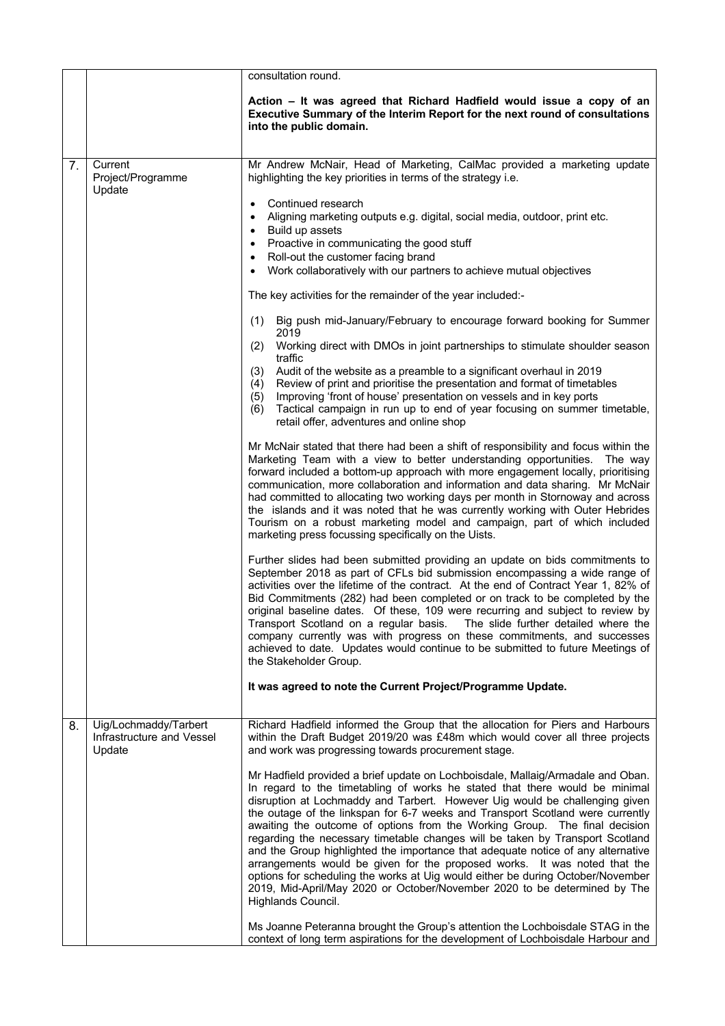|    |                                                              | consultation round.                                                                                                                                                                                                                                                                                                                                                                                                                                                                                                                                                                                                                                                                                                                                                                                                                                   |
|----|--------------------------------------------------------------|-------------------------------------------------------------------------------------------------------------------------------------------------------------------------------------------------------------------------------------------------------------------------------------------------------------------------------------------------------------------------------------------------------------------------------------------------------------------------------------------------------------------------------------------------------------------------------------------------------------------------------------------------------------------------------------------------------------------------------------------------------------------------------------------------------------------------------------------------------|
|    |                                                              | Action - It was agreed that Richard Hadfield would issue a copy of an<br>Executive Summary of the Interim Report for the next round of consultations<br>into the public domain.                                                                                                                                                                                                                                                                                                                                                                                                                                                                                                                                                                                                                                                                       |
| 7. | Current<br>Project/Programme<br>Update                       | Mr Andrew McNair, Head of Marketing, CalMac provided a marketing update<br>highlighting the key priorities in terms of the strategy i.e.                                                                                                                                                                                                                                                                                                                                                                                                                                                                                                                                                                                                                                                                                                              |
|    |                                                              | Continued research<br>$\bullet$<br>Aligning marketing outputs e.g. digital, social media, outdoor, print etc.<br>$\bullet$<br>Build up assets<br>$\bullet$<br>Proactive in communicating the good stuff<br>Roll-out the customer facing brand<br>Work collaboratively with our partners to achieve mutual objectives<br>$\bullet$                                                                                                                                                                                                                                                                                                                                                                                                                                                                                                                     |
|    |                                                              | The key activities for the remainder of the year included:-                                                                                                                                                                                                                                                                                                                                                                                                                                                                                                                                                                                                                                                                                                                                                                                           |
|    |                                                              | Big push mid-January/February to encourage forward booking for Summer<br>(1)<br>2019<br>Working direct with DMOs in joint partnerships to stimulate shoulder season<br>(2)                                                                                                                                                                                                                                                                                                                                                                                                                                                                                                                                                                                                                                                                            |
|    |                                                              | traffic<br>Audit of the website as a preamble to a significant overhaul in 2019<br>(3)<br>Review of print and prioritise the presentation and format of timetables<br>(4)<br>Improving 'front of house' presentation on vessels and in key ports<br>(5)<br>Tactical campaign in run up to end of year focusing on summer timetable,<br>(6)<br>retail offer, adventures and online shop                                                                                                                                                                                                                                                                                                                                                                                                                                                                |
|    |                                                              | Mr McNair stated that there had been a shift of responsibility and focus within the<br>Marketing Team with a view to better understanding opportunities. The way<br>forward included a bottom-up approach with more engagement locally, prioritising<br>communication, more collaboration and information and data sharing. Mr McNair<br>had committed to allocating two working days per month in Stornoway and across<br>the islands and it was noted that he was currently working with Outer Hebrides<br>Tourism on a robust marketing model and campaign, part of which included<br>marketing press focussing specifically on the Uists.                                                                                                                                                                                                         |
|    |                                                              | Further slides had been submitted providing an update on bids commitments to<br>September 2018 as part of CFLs bid submission encompassing a wide range of<br>activities over the lifetime of the contract. At the end of Contract Year 1, 82% of<br>Bid Commitments (282) had been completed or on track to be completed by the<br>original baseline dates. Of these, 109 were recurring and subject to review by  <br>Transport Scotland on a regular basis. The slide further detailed where the<br>company currently was with progress on these commitments, and successes<br>achieved to date. Updates would continue to be submitted to future Meetings of<br>the Stakeholder Group.                                                                                                                                                            |
|    |                                                              | It was agreed to note the Current Project/Programme Update.                                                                                                                                                                                                                                                                                                                                                                                                                                                                                                                                                                                                                                                                                                                                                                                           |
| 8. | Uig/Lochmaddy/Tarbert<br>Infrastructure and Vessel<br>Update | Richard Hadfield informed the Group that the allocation for Piers and Harbours<br>within the Draft Budget 2019/20 was £48m which would cover all three projects<br>and work was progressing towards procurement stage.                                                                                                                                                                                                                                                                                                                                                                                                                                                                                                                                                                                                                                |
|    |                                                              | Mr Hadfield provided a brief update on Lochboisdale, Mallaig/Armadale and Oban.<br>In regard to the timetabling of works he stated that there would be minimal<br>disruption at Lochmaddy and Tarbert. However Uig would be challenging given<br>the outage of the linkspan for 6-7 weeks and Transport Scotland were currently<br>awaiting the outcome of options from the Working Group. The final decision<br>regarding the necessary timetable changes will be taken by Transport Scotland<br>and the Group highlighted the importance that adequate notice of any alternative<br>arrangements would be given for the proposed works. It was noted that the<br>options for scheduling the works at Uig would either be during October/November<br>2019, Mid-April/May 2020 or October/November 2020 to be determined by The<br>Highlands Council. |
|    |                                                              | Ms Joanne Peteranna brought the Group's attention the Lochboisdale STAG in the<br>context of long term aspirations for the development of Lochboisdale Harbour and                                                                                                                                                                                                                                                                                                                                                                                                                                                                                                                                                                                                                                                                                    |